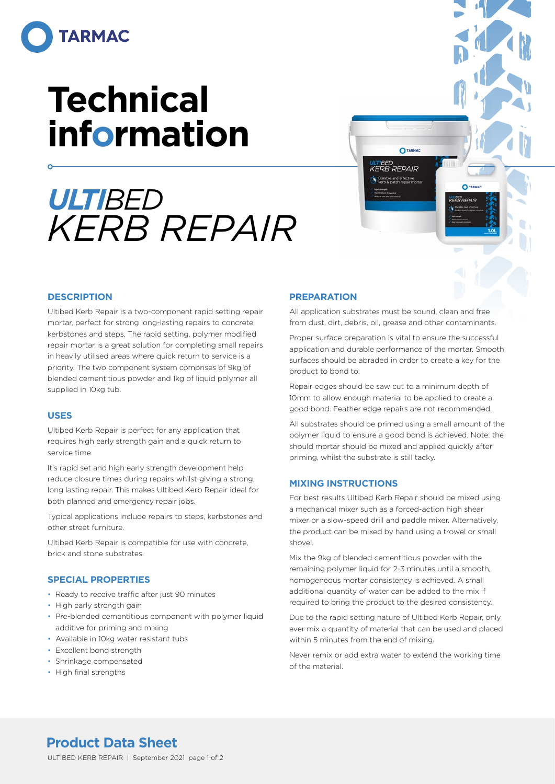

# **Technical information**

## *ULTIBED KERB REPAIR*

#### **DESCRIPTION**

Ultibed Kerb Repair is a two-component rapid setting repair mortar, perfect for strong long-lasting repairs to concrete kerbstones and steps. The rapid setting, polymer modified repair mortar is a great solution for completing small repairs in heavily utilised areas where quick return to service is a priority. The two component system comprises of 9kg of blended cementitious powder and 1kg of liquid polymer all supplied in 10kg tub.

#### **USES**

Ultibed Kerb Repair is perfect for any application that requires high early strength gain and a quick return to service time.

It's rapid set and high early strength development help reduce closure times during repairs whilst giving a strong, long lasting repair. This makes Ultibed Kerb Repair ideal for both planned and emergency repair jobs.

Typical applications include repairs to steps, kerbstones and other street furniture.

Ultibed Kerb Repair is compatible for use with concrete, brick and stone substrates.

#### **SPECIAL PROPERTIES**

- Ready to receive traffic after just 90 minutes
- High early strength gain
- Pre-blended cementitious component with polymer liquid additive for priming and mixing
- Available in 10kg water resistant tubs
- Excellent bond strength
- Shrinkage compensated
- High final strengths

#### **PREPARATION**

All application substrates must be sound, clean and free from dust, dirt, debris, oil, grease and other contaminants.

**O**TARMAC

 $\overline{c}$ **LLTBED**<br>KERR REPAIL

ULTIBED<br>KERB REPAIR

Proper surface preparation is vital to ensure the successful application and durable performance of the mortar. Smooth surfaces should be abraded in order to create a key for the product to bond to.

Repair edges should be saw cut to a minimum depth of 10mm to allow enough material to be applied to create a good bond. Feather edge repairs are not recommended.

All substrates should be primed using a small amount of the polymer liquid to ensure a good bond is achieved. Note: the should mortar should be mixed and applied quickly after priming, whilst the substrate is still tacky.

#### **MIXING INSTRUCTIONS**

For best results Ultibed Kerb Repair should be mixed using a mechanical mixer such as a forced-action high shear mixer or a slow-speed drill and paddle mixer. Alternatively, the product can be mixed by hand using a trowel or small shovel.

Mix the 9kg of blended cementitious powder with the remaining polymer liquid for 2-3 minutes until a smooth, homogeneous mortar consistency is achieved. A small additional quantity of water can be added to the mix if required to bring the product to the desired consistency.

Due to the rapid setting nature of Ultibed Kerb Repair, only ever mix a quantity of material that can be used and placed within 5 minutes from the end of mixing.

Never remix or add extra water to extend the working time of the material.

## **Product Data Sheet**